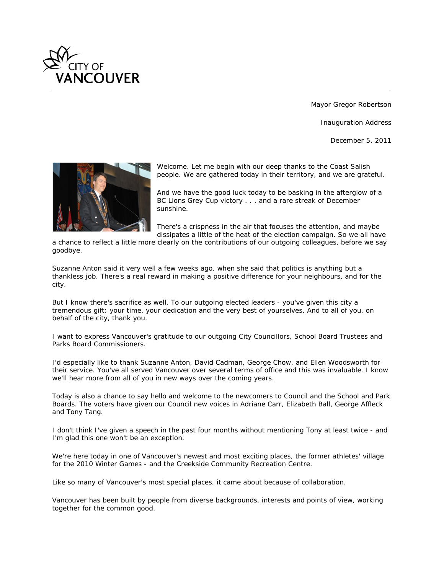

Mayor Gregor Robertson

Inauguration Address

December 5, 2011



*Welcome. Let me begin with our deep thanks to the Coast Salish people. We are gathered today in their territory, and we are grateful.*

*And we have the good luck today to be basking in the afterglow of a BC Lions Grey Cup victory . . . and a rare streak of December sunshine.*

*There's a crispness in the air that focuses the attention, and maybe dissipates a little of the heat of the election campaign. So we all have* 

*a chance to reflect a little more clearly on the contributions of our outgoing colleagues, before we say goodbye.*

*Suzanne Anton said it very well a few weeks ago, when she said that politics is anything but a thankless job. There's a real reward in making a positive difference for your neighbours, and for the city.*

*But I know there's sacrifice as well. To our outgoing elected leaders - you've given this city a tremendous gift: your time, your dedication and the very best of yourselves. And to all of you, on behalf of the city, thank you.*

*I want to express Vancouver's gratitude to our outgoing City Councillors, School Board Trustees and Parks Board Commissioners.*

*I'd especially like to thank Suzanne Anton, David Cadman, George Chow, and Ellen Woodsworth for their service. You've all served Vancouver over several terms of office and this was invaluable. I know we'll hear more from all of you in new ways over the coming years.*

*Today is also a chance to say hello and welcome to the newcomers to Council and the School and Park Boards. The voters have given our Council new voices in Adriane Carr, Elizabeth Ball, George Affleck and Tony Tang.*

*I don't think I've given a speech in the past four months without mentioning Tony at least twice - and I'm glad this one won't be an exception.*

*We're here today in one of Vancouver's newest and most exciting places, the former athletes' village for the 2010 Winter Games - and the Creekside Community Recreation Centre.*

*Like so many of Vancouver's most special places, it came about because of collaboration.*

*Vancouver has been built by people from diverse backgrounds, interests and points of view, working together for the common good.*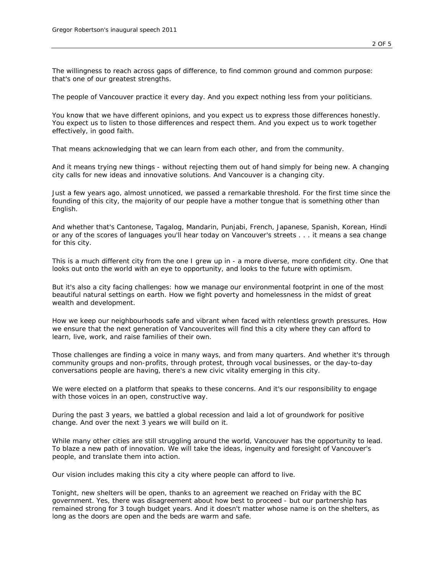*The willingness to reach across gaps of difference, to find common ground and common purpose: that's one of our greatest strengths.*

*The people of Vancouver practice it every day. And you expect nothing less from your politicians.*

*You know that we have different opinions, and you expect us to express those differences honestly. You expect us to listen to those differences and respect them. And you expect us to work together effectively, in good faith.*

*That means acknowledging that we can learn from each other, and from the community.*

*And it means trying new things - without rejecting them out of hand simply for being new. A changing city calls for new ideas and innovative solutions. And Vancouver is a changing city.*

*Just a few years ago, almost unnoticed, we passed a remarkable threshold. For the first time since the founding of this city, the majority of our people have a mother tongue that is something other than English.*

*And whether that's Cantonese, Tagalog, Mandarin, Punjabi, French, Japanese, Spanish, Korean, Hindi or any of the scores of languages you'll hear today on Vancouver's streets . . . it means a sea change for this city.*

*This is a much different city from the one I grew up in - a more diverse, more confident city. One that looks out onto the world with an eye to opportunity, and looks to the future with optimism.*

*But it's also a city facing challenges: how we manage our environmental footprint in one of the most beautiful natural settings on earth. How we fight poverty and homelessness in the midst of great wealth and development.*

*How we keep our neighbourhoods safe and vibrant when faced with relentless growth pressures. How we ensure that the next generation of Vancouverites will find this a city where they can afford to learn, live, work, and raise families of their own.*

*Those challenges are finding a voice in many ways, and from many quarters. And whether it's through community groups and non-profits, through protest, through vocal businesses, or the day-to-day conversations people are having, there's a new civic vitality emerging in this city.*

*We were elected on a platform that speaks to these concerns. And it's our responsibility to engage with those voices in an open, constructive way.*

*During the past 3 years, we battled a global recession and laid a lot of groundwork for positive change. And over the next 3 years we will build on it.*

*While many other cities are still struggling around the world, Vancouver has the opportunity to lead. To blaze a new path of innovation. We will take the ideas, ingenuity and foresight of Vancouver's people, and translate them into action.*

*Our vision includes making this city a city where people can afford to live.*

*Tonight, new shelters will be open, thanks to an agreement we reached on Friday with the BC government. Yes, there was disagreement about how best to proceed - but our partnership has remained strong for 3 tough budget years. And it doesn't matter whose name is on the shelters, as long as the doors are open and the beds are warm and safe.*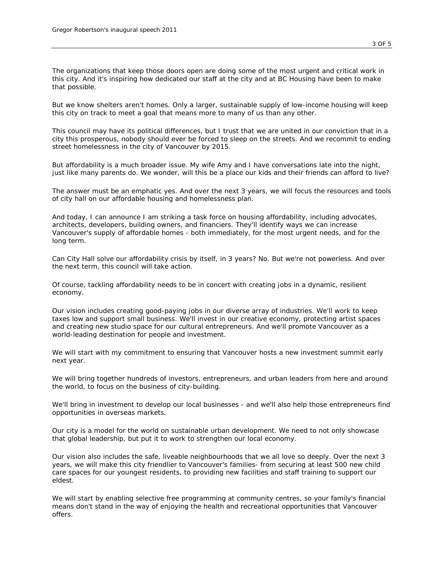*The organizations that keep those doors open are doing some of the most urgent and critical work in this city. And it's inspiring how dedicated our staff at the city and at BC Housing have been to make that possible.*

*But we know shelters aren't homes. Only a larger, sustainable supply of low-income housing will keep this city on track to meet a goal that means more to many of us than any other.*

*This council may have its political differences, but I trust that we are united in our conviction that in a city this prosperous, nobody should ever be forced to sleep on the streets. And we recommit to ending street homelessness in the city of Vancouver by 2015.*

*But affordability is a much broader issue. My wife Amy and I have conversations late into the night, just like many parents do. We wonder, will this be a place our kids and their friends can afford to live?*

*The answer must be an emphatic yes. And over the next 3 years, we will focus the resources and tools of city hall on our affordable housing and homelessness plan.*

*And today, I can announce I am striking a task force on housing affordability, including advocates, architects, developers, building owners, and financiers. They'll identify ways we can increase Vancouver's supply of affordable homes - both immediately, for the most urgent needs, and for the long term.*

*Can City Hall solve our affordability crisis by itself, in 3 years? No. But we're not powerless. And over the next term, this council will take action.*

*Of course, tackling affordability needs to be in concert with creating jobs in a dynamic, resilient economy.*

*Our vision includes creating good-paying jobs in our diverse array of industries. We'll work to keep taxes low and support small business. We'll invest in our creative economy, protecting artist spaces and creating new studio space for our cultural entrepreneurs. And we'll promote Vancouver as a world-leading destination for people and investment.*

*We will start with my commitment to ensuring that Vancouver hosts a new investment summit early next year.*

*We will bring together hundreds of investors, entrepreneurs, and urban leaders from here and around the world, to focus on the business of city-building.*

*We'll bring in investment to develop our local businesses - and we'll also help those entrepreneurs find opportunities in overseas markets.*

*Our city is a model for the world on sustainable urban development. We need to not only showcase that global leadership, but put it to work to strengthen our local economy.*

*Our vision also includes the safe, liveable neighbourhoods that we all love so deeply. Over the next 3 years, we will make this city friendlier to Vancouver's families- from securing at least 500 new child care spaces for our youngest residents, to providing new facilities and staff training to support our eldest.*

*We will start by enabling selective free programming at community centres, so your family's financial means don't stand in the way of enjoying the health and recreational opportunities that Vancouver offers.*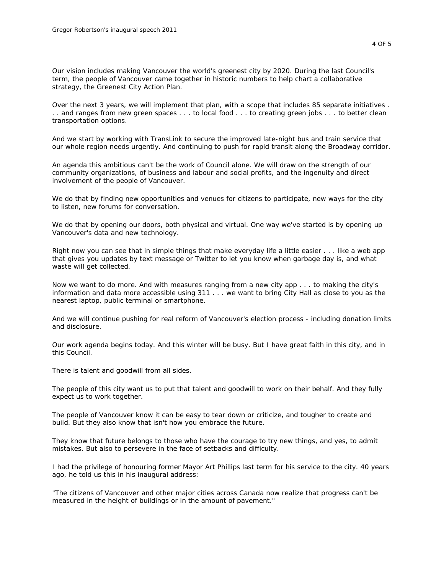*Our vision includes making Vancouver the world's greenest city by 2020. During the last Council's term, the people of Vancouver came together in historic numbers to help chart a collaborative strategy, the Greenest City Action Plan.*

*Over the next 3 years, we will implement that plan, with a scope that includes 85 separate initiatives . . . and ranges from new green spaces . . . to local food . . . to creating green jobs . . . to better clean transportation options.*

*And we start by working with TransLink to secure the improved late-night bus and train service that our whole region needs urgently. And continuing to push for rapid transit along the Broadway corridor.*

*An agenda this ambitious can't be the work of Council alone. We will draw on the strength of our community organizations, of business and labour and social profits, and the ingenuity and direct involvement of the people of Vancouver.*

*We do that by finding new opportunities and venues for citizens to participate, new ways for the city to listen, new forums for conversation.*

We do that by opening our doors, both physical and virtual. One way we've started is by opening up *Vancouver's data and new technology.*

*Right now you can see that in simple things that make everyday life a little easier . . . like a web app that gives you updates by text message or Twitter to let you know when garbage day is, and what waste will get collected.*

*Now we want to do more. And with measures ranging from a new city app . . . to making the city's information and data more accessible using 311 . . . we want to bring City Hall as close to you as the nearest laptop, public terminal or smartphone.*

*And we will continue pushing for real reform of Vancouver's election process - including donation limits and disclosure.*

*Our work agenda begins today. And this winter will be busy. But I have great faith in this city, and in this Council.*

*There is talent and goodwill from all sides.*

*The people of this city want us to put that talent and goodwill to work on their behalf. And they fully expect us to work together.*

*The people of Vancouver know it can be easy to tear down or criticize, and tougher to create and build. But they also know that isn't how you embrace the future.*

*They know that future belongs to those who have the courage to try new things, and yes, to admit mistakes. But also to persevere in the face of setbacks and difficulty.*

*I had the privilege of honouring former Mayor Art Phillips last term for his service to the city. 40 years ago, he told us this in his inaugural address:*

*"The citizens of Vancouver and other major cities across Canada now realize that progress can't be measured in the height of buildings or in the amount of pavement."*